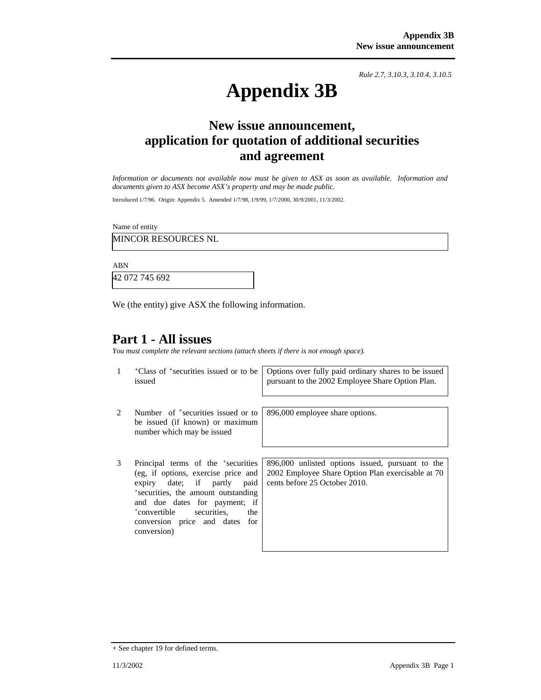*Rule 2.7, 3.10.3, 3.10.4, 3.10.5*

# **Appendix 3B**

# **New issue announcement, application for quotation of additional securities and agreement**

*Information or documents not available now must be given to ASX as soon as available. Information and documents given to ASX become ASX's property and may be made public.* 

Introduced 1/7/96. Origin: Appendix 5. Amended 1/7/98, 1/9/99, 1/7/2000, 30/9/2001, 11/3/2002.

Name of entity

MINCOR RESOURCES NL

ABN

42 072 745 692

We (the entity) give ASX the following information.

### **Part 1 - All issues**

*You must complete the relevant sections (attach sheets if there is not enough space).*

| 1                             | <sup>+</sup> Class of <sup>+</sup> securities issued or to be<br>issued                                                                                                                                                                                                                               | Options over fully paid ordinary shares to be issued<br>pursuant to the 2002 Employee Share Option Plan.                               |
|-------------------------------|-------------------------------------------------------------------------------------------------------------------------------------------------------------------------------------------------------------------------------------------------------------------------------------------------------|----------------------------------------------------------------------------------------------------------------------------------------|
| $\mathfrak{D}_{\mathfrak{p}}$ | Number of <sup>+</sup> securities issued or to<br>be issued (if known) or maximum<br>number which may be issued                                                                                                                                                                                       | 896,000 employee share options.                                                                                                        |
| 3                             | Principal terms of the <sup>+</sup> securities<br>(eg, if options, exercise price and<br>expiry date; if partly<br>paid<br>*securities, the amount outstanding<br>and due dates for payment; if<br><sup>+</sup> convertible<br>securities.<br>the<br>conversion price and dates<br>for<br>conversion) | 896,000 unlisted options issued, pursuant to the<br>2002 Employee Share Option Plan exercisable at 70<br>cents before 25 October 2010. |

<sup>+</sup> See chapter 19 for defined terms.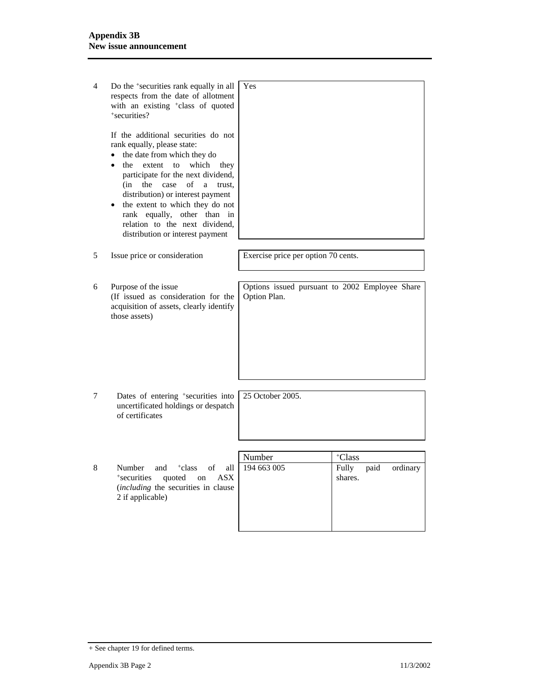| 4 | Do the <sup>+</sup> securities rank equally in all<br>respects from the date of allotment<br>with an existing +class of quoted<br>*securities?<br>If the additional securities do not<br>rank equally, please state:<br>the date from which they do<br>which<br>the<br>extent<br>$\mathsf{to}$<br>they<br>participate for the next dividend,<br>(in<br>the<br>case<br>of<br>a<br>trust.<br>distribution) or interest payment<br>the extent to which they do not<br>rank equally, other than<br>in<br>relation to the next dividend. | Yes                                                            |                                      |
|---|-------------------------------------------------------------------------------------------------------------------------------------------------------------------------------------------------------------------------------------------------------------------------------------------------------------------------------------------------------------------------------------------------------------------------------------------------------------------------------------------------------------------------------------|----------------------------------------------------------------|--------------------------------------|
|   | distribution or interest payment                                                                                                                                                                                                                                                                                                                                                                                                                                                                                                    |                                                                |                                      |
| 5 | Issue price or consideration                                                                                                                                                                                                                                                                                                                                                                                                                                                                                                        | Exercise price per option 70 cents.                            |                                      |
| 6 | Purpose of the issue<br>(If issued as consideration for the<br>acquisition of assets, clearly identify<br>those assets)                                                                                                                                                                                                                                                                                                                                                                                                             | Options issued pursuant to 2002 Employee Share<br>Option Plan. |                                      |
| 7 | Dates of entering <sup>+</sup> securities into<br>uncertificated holdings or despatch<br>of certificates                                                                                                                                                                                                                                                                                                                                                                                                                            | 25 October 2005.                                               |                                      |
|   |                                                                                                                                                                                                                                                                                                                                                                                                                                                                                                                                     |                                                                |                                      |
|   |                                                                                                                                                                                                                                                                                                                                                                                                                                                                                                                                     | Number                                                         | +Class                               |
| 8 | Number<br><sup>+</sup> class<br>of<br>and<br>all<br>*securities<br>quoted<br><b>ASX</b><br>on<br>(including the securities in clause<br>2 if applicable)                                                                                                                                                                                                                                                                                                                                                                            | 194 663 005                                                    | Fully<br>ordinary<br>paid<br>shares. |

<sup>+</sup> See chapter 19 for defined terms.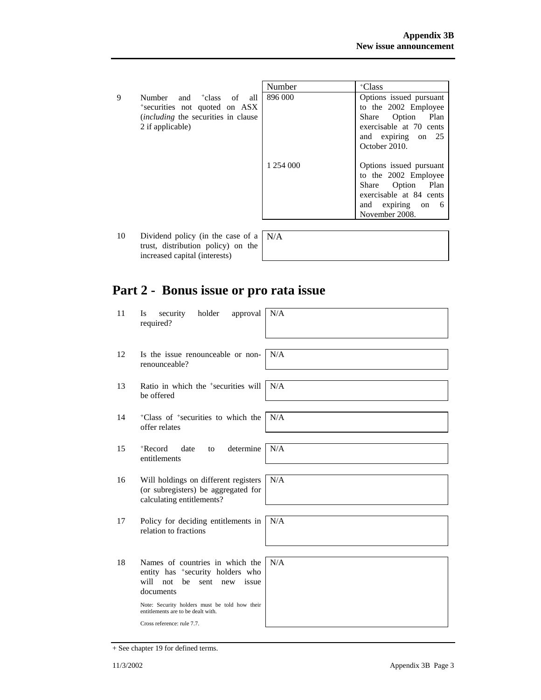|    |                                                                                                | Number    | +Class                  |
|----|------------------------------------------------------------------------------------------------|-----------|-------------------------|
| 9  | of<br>Number<br>and <sup>+</sup> class<br>all                                                  | 896 000   | Options issued pursuant |
|    | *securities not quoted on ASX                                                                  |           | to the 2002 Employee    |
|    | <i>(including the securities in clause)</i>                                                    |           | Option<br>Plan<br>Share |
|    | 2 if applicable)                                                                               |           | exercisable at 70 cents |
|    |                                                                                                |           | and expiring on 25      |
|    |                                                                                                |           | October 2010.           |
|    |                                                                                                |           |                         |
|    |                                                                                                | 1 254 000 | Options issued pursuant |
|    |                                                                                                |           | to the 2002 Employee    |
|    |                                                                                                |           | Option<br>Share<br>Plan |
|    |                                                                                                |           | exercisable at 84 cents |
|    |                                                                                                |           | and expiring<br>on 6    |
|    |                                                                                                |           | November 2008.          |
|    |                                                                                                |           |                         |
| 10 | Dividend policy (in the case of a $\vert N/A \rangle$<br>turnat distuitment so aliser) sur the |           |                         |

trust, distribution policy) on the increased capital (interests)

# **Part 2 - Bonus issue or pro rata issue**

| 11 | security<br>holder<br>approval<br>Is<br>required?                                                                       | N/A |
|----|-------------------------------------------------------------------------------------------------------------------------|-----|
| 12 | Is the issue renounceable or non-<br>renounceable?                                                                      | N/A |
| 13 | Ratio in which the <sup>+</sup> securities will<br>be offered                                                           | N/A |
| 14 | <sup>+</sup> Class of <sup>+</sup> securities to which the<br>offer relates                                             | N/A |
| 15 | $+$ Record<br>determine<br>date<br>to<br>entitlements                                                                   | N/A |
| 16 | Will holdings on different registers<br>(or subregisters) be aggregated for<br>calculating entitlements?                | N/A |
| 17 | Policy for deciding entitlements in<br>relation to fractions                                                            | N/A |
| 18 | Names of countries in which the<br>entity has *security holders who<br>will not<br>be<br>issue<br>sent new<br>documents | N/A |
|    | Note: Security holders must be told how their<br>entitlements are to be dealt with.                                     |     |
|    | Cross reference: rule 7.7.                                                                                              |     |

<sup>+</sup> See chapter 19 for defined terms.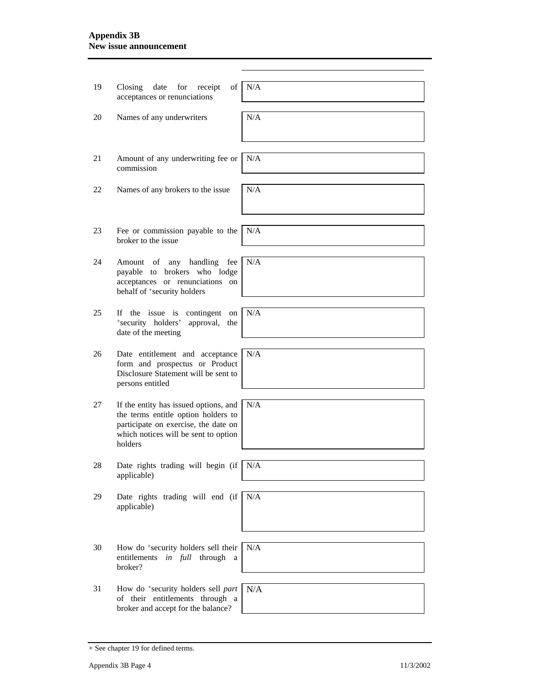#### **Appendix 3B New issue announcement**

| 19 | date<br>for<br>of<br>Closing<br>receipt<br>acceptances or renunciations                                                                                                 | N/A |
|----|-------------------------------------------------------------------------------------------------------------------------------------------------------------------------|-----|
| 20 | Names of any underwriters                                                                                                                                               | N/A |
| 21 | Amount of any underwriting fee or<br>commission                                                                                                                         | N/A |
| 22 | Names of any brokers to the issue                                                                                                                                       | N/A |
| 23 | Fee or commission payable to the<br>broker to the issue                                                                                                                 | N/A |
| 24 | any handling fee<br>Amount of<br>payable to brokers who lodge<br>acceptances or renunciations on<br>behalf of <sup>+</sup> security holders                             | N/A |
| 25 | If the issue is contingent on<br>*security holders'<br>approval, the<br>date of the meeting                                                                             | N/A |
| 26 | Date entitlement and acceptance<br>form and prospectus or Product<br>Disclosure Statement will be sent to<br>persons entitled                                           | N/A |
| 27 | If the entity has issued options, and<br>the terms entitle option holders to<br>participate on exercise, the date on<br>which notices will be sent to option<br>holders | N/A |
| 28 | Date rights trading will begin (if $N/A$<br>applicable)                                                                                                                 |     |
| 29 | Date rights trading will end (if<br>applicable)                                                                                                                         | N/A |
| 30 | How do <sup>+</sup> security holders sell their<br>entitlements<br>in full through<br>a<br>broker?                                                                      | N/A |
| 31 | How do <sup>+</sup> security holders sell part<br>of their entitlements through a<br>broker and accept for the balance?                                                 | N/A |

<sup>+</sup> See chapter 19 for defined terms.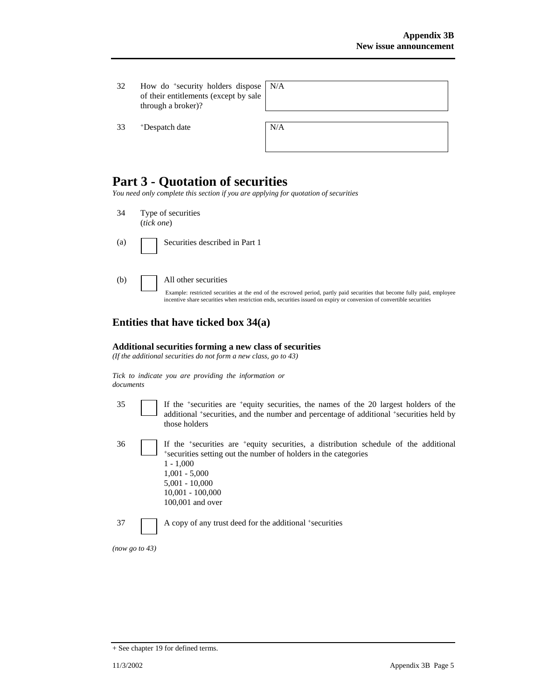32 How do +security holders dispose of their entitlements (except by sale through a broker)?

33 +Despatch date N/A

| N/A |  |  |  |
|-----|--|--|--|
|     |  |  |  |
|     |  |  |  |

## **Part 3 - Quotation of securities**

*You need only complete this section if you are applying for quotation of securities* 

- 34 Type of securities (*tick one*)
- (a) Securities described in Part 1
- 

(b) All other securities

Example: restricted securities at the end of the escrowed period, partly paid securities that become fully paid, employee incentive share securities when restriction ends, securities issued on expiry or conversion of convertible securities

#### **Entities that have ticked box 34(a)**

#### **Additional securities forming a new class of securities**

*(If the additional securities do not form a new class, go to 43)* 

*Tick to indicate you are providing the information or documents*

| ٦<br>۰,<br>-<br>- |  |
|-------------------|--|
|                   |  |
|                   |  |

35 If the +securities are +equity securities, the names of the 20 largest holders of the additional <sup>+</sup>securities, and the number and percentage of additional <sup>+</sup>securities held by those holders

|--|

If the  $+$ securities are  $+$ equity securities, a distribution schedule of the additional  $+$ securities setting out the number of holders in the categories 1 - 1,000 1,001 - 5,000 5,001 - 10,000 10,001 - 100,000 100,001 and over

37 A copy of any trust deed for the additional +securities

*(now go to 43)* 

<sup>+</sup> See chapter 19 for defined terms.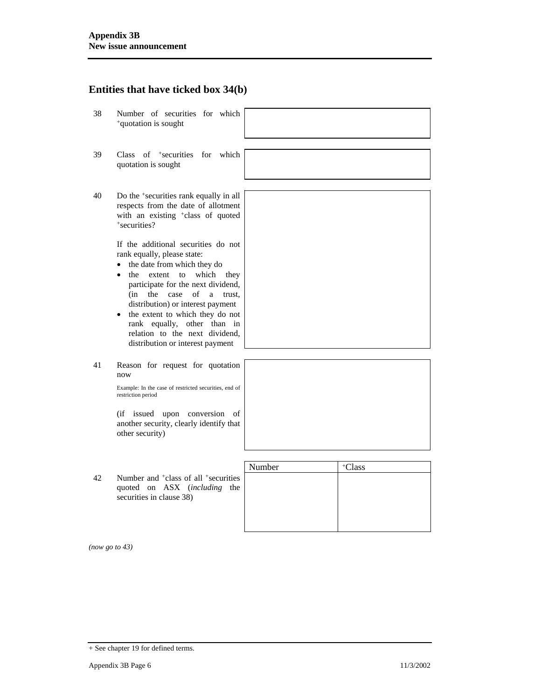#### **Entities that have ticked box 34(b)**

- 38 Number of securities for which +quotation is sought
- 39 Class of +securities for which quotation is sought
- 40 Do the +securities rank equally in all respects from the date of allotment with an existing <sup>+</sup>class of quoted +securities?

If the additional securities do not rank equally, please state:

- the date from which they do
- the extent to which they participate for the next dividend, (in the case of a trust, distribution) or interest payment
- the extent to which they do not rank equally, other than in relation to the next dividend, distribution or interest payment
- 41 Reason for request for quotation now

Example: In the case of restricted securities, end of restriction period

(if issued upon conversion of another security, clearly identify that other security)

|    |                                                                                                                                  | Number | Class |
|----|----------------------------------------------------------------------------------------------------------------------------------|--------|-------|
| 42 | Number and <sup>+</sup> class of all <sup>+</sup> securities<br>quoted on ASX ( <i>including</i> the<br>securities in clause 38) |        |       |
|    |                                                                                                                                  |        |       |

*(now go to 43)* 

<sup>+</sup> See chapter 19 for defined terms.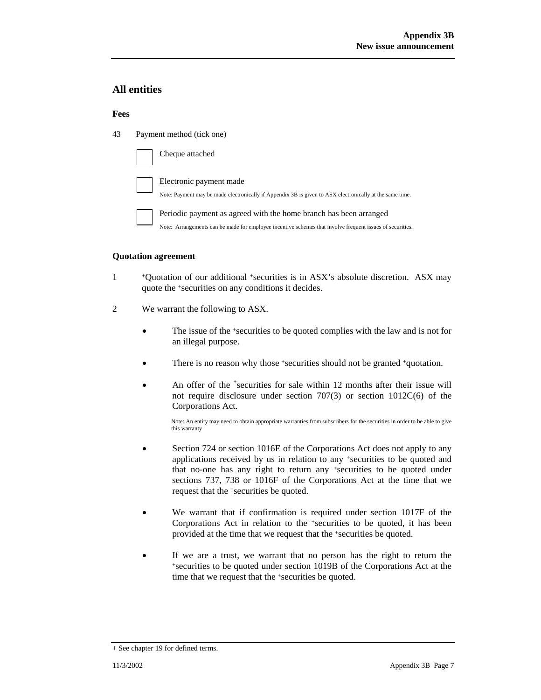#### **All entities**

#### **Fees**

43 Payment method (tick one)

| Cheque attached                                                                                                                                                                |
|--------------------------------------------------------------------------------------------------------------------------------------------------------------------------------|
| Electronic payment made<br>Note: Payment may be made electronically if Appendix 3B is given to ASX electronically at the same time.                                            |
| Periodic payment as agreed with the home branch has been arranged<br>Note: Arrangements can be made for employee incentive schemes that involve frequent issues of securities. |

#### **Quotation agreement**

- 1 +Quotation of our additional +securities is in ASX's absolute discretion. ASX may quote the +securities on any conditions it decides.
- 2 We warrant the following to ASX.
	- The issue of the +securities to be quoted complies with the law and is not for an illegal purpose.
	- There is no reason why those +securities should not be granted +quotation.
	- An offer of the <sup>+</sup>securities for sale within 12 months after their issue will not require disclosure under section 707(3) or section 1012C(6) of the Corporations Act.

Note: An entity may need to obtain appropriate warranties from subscribers for the securities in order to be able to give this warranty

- Section 724 or section 1016E of the Corporations Act does not apply to any applications received by us in relation to any +securities to be quoted and that no-one has any right to return any +securities to be quoted under sections 737, 738 or 1016F of the Corporations Act at the time that we request that the +securities be quoted.
- We warrant that if confirmation is required under section 1017F of the Corporations Act in relation to the +securities to be quoted, it has been provided at the time that we request that the +securities be quoted.
- If we are a trust, we warrant that no person has the right to return the +securities to be quoted under section 1019B of the Corporations Act at the time that we request that the +securities be quoted.

<sup>+</sup> See chapter 19 for defined terms.